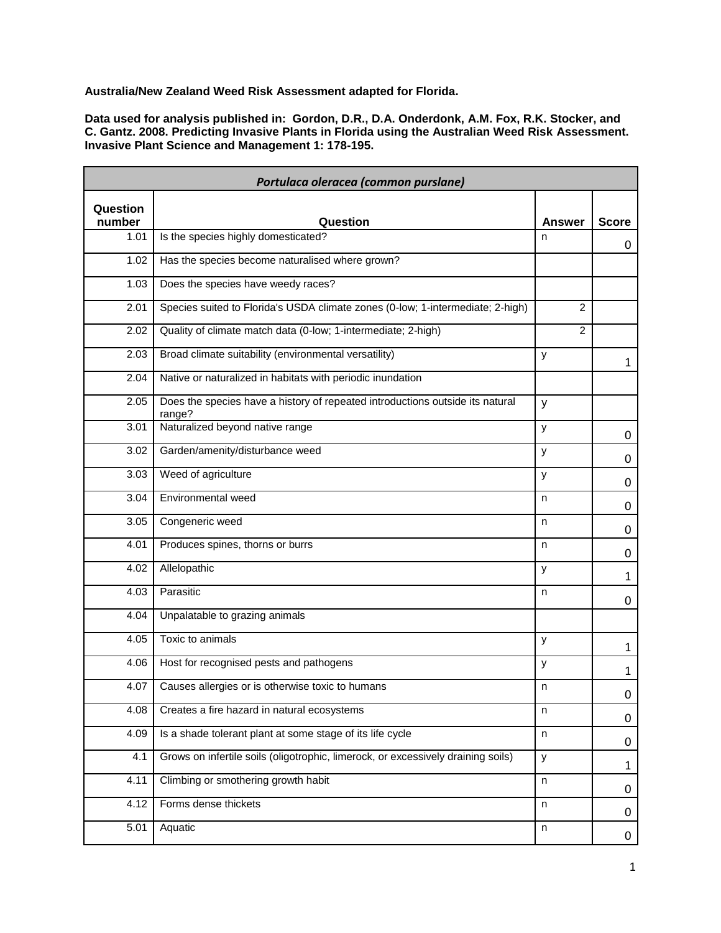**Australia/New Zealand Weed Risk Assessment adapted for Florida.**

**Data used for analysis published in: Gordon, D.R., D.A. Onderdonk, A.M. Fox, R.K. Stocker, and C. Gantz. 2008. Predicting Invasive Plants in Florida using the Australian Weed Risk Assessment. Invasive Plant Science and Management 1: 178-195.**

| Portulaca oleracea (common purslane) |                                                                                         |                |              |
|--------------------------------------|-----------------------------------------------------------------------------------------|----------------|--------------|
| Question<br>number                   | Question                                                                                | <b>Answer</b>  | <b>Score</b> |
| 1.01                                 | Is the species highly domesticated?                                                     | n              | 0            |
| 1.02                                 | Has the species become naturalised where grown?                                         |                |              |
| 1.03                                 | Does the species have weedy races?                                                      |                |              |
| 2.01                                 | Species suited to Florida's USDA climate zones (0-low; 1-intermediate; 2-high)          | 2              |              |
| 2.02                                 | Quality of climate match data (0-low; 1-intermediate; 2-high)                           | $\overline{2}$ |              |
| 2.03                                 | Broad climate suitability (environmental versatility)                                   | y              | $\mathbf{1}$ |
| 2.04                                 | Native or naturalized in habitats with periodic inundation                              |                |              |
| 2.05                                 | Does the species have a history of repeated introductions outside its natural<br>range? | y              |              |
| 3.01                                 | Naturalized beyond native range                                                         | У              | 0            |
| 3.02                                 | Garden/amenity/disturbance weed                                                         | У              | 0            |
| 3.03                                 | Weed of agriculture                                                                     | У              | 0            |
| 3.04                                 | Environmental weed                                                                      | n              | 0            |
| 3.05                                 | Congeneric weed                                                                         | n.             | 0            |
| 4.01                                 | Produces spines, thorns or burrs                                                        | n              | 0            |
| 4.02                                 | Allelopathic                                                                            | У              | 1            |
| 4.03                                 | Parasitic                                                                               | n              | 0            |
| 4.04                                 | Unpalatable to grazing animals                                                          |                |              |
| 4.05                                 | Toxic to animals                                                                        | У              | 1            |
| 4.06                                 | Host for recognised pests and pathogens                                                 | y              | $\mathbf{1}$ |
| 4.07                                 | Causes allergies or is otherwise toxic to humans                                        | n              | 0            |
| 4.08                                 | Creates a fire hazard in natural ecosystems                                             | n              | 0            |
| 4.09                                 | Is a shade tolerant plant at some stage of its life cycle                               | n              | 0            |
| 4.1                                  | Grows on infertile soils (oligotrophic, limerock, or excessively draining soils)        | У              | $\mathbf{1}$ |
| 4.11                                 | Climbing or smothering growth habit                                                     | n              | 0            |
| 4.12                                 | Forms dense thickets                                                                    | n              | 0            |
| 5.01                                 | Aquatic                                                                                 | n              | 0            |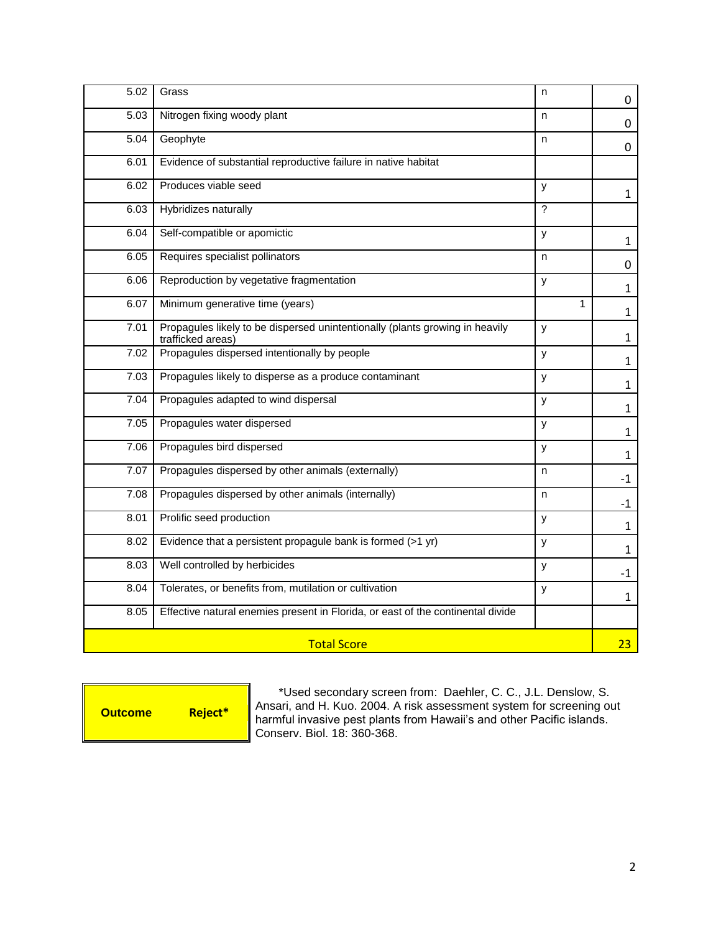| 5.02               | Grass                                                                                             | n | 0            |
|--------------------|---------------------------------------------------------------------------------------------------|---|--------------|
| 5.03               | Nitrogen fixing woody plant                                                                       | n | 0            |
| 5.04               | Geophyte                                                                                          | n | 0            |
| 6.01               | Evidence of substantial reproductive failure in native habitat                                    |   |              |
| 6.02               | Produces viable seed                                                                              | У | $\mathbf{1}$ |
| 6.03               | Hybridizes naturally                                                                              | ? |              |
| 6.04               | Self-compatible or apomictic                                                                      | y | $\mathbf{1}$ |
| 6.05               | Requires specialist pollinators                                                                   | n | 0            |
| 6.06               | Reproduction by vegetative fragmentation                                                          | y | $\mathbf{1}$ |
| 6.07               | Minimum generative time (years)                                                                   | 1 | $\mathbf{1}$ |
| 7.01               | Propagules likely to be dispersed unintentionally (plants growing in heavily<br>trafficked areas) | y | $\mathbf{1}$ |
| 7.02               | Propagules dispersed intentionally by people                                                      | y | $\mathbf{1}$ |
| 7.03               | Propagules likely to disperse as a produce contaminant                                            | У | $\mathbf{1}$ |
| 7.04               | Propagules adapted to wind dispersal                                                              | y | $\mathbf{1}$ |
| 7.05               | Propagules water dispersed                                                                        | y | $\mathbf{1}$ |
| 7.06               | Propagules bird dispersed                                                                         | y | $\mathbf{1}$ |
| 7.07               | Propagules dispersed by other animals (externally)                                                | n | $-1$         |
| 7.08               | Propagules dispersed by other animals (internally)                                                | n | $-1$         |
| 8.01               | Prolific seed production                                                                          | y | $\mathbf{1}$ |
| 8.02               | Evidence that a persistent propagule bank is formed (>1 yr)                                       | У | $\mathbf{1}$ |
| 8.03               | Well controlled by herbicides                                                                     | у | $-1$         |
| 8.04               | Tolerates, or benefits from, mutilation or cultivation                                            | y | $\mathbf{1}$ |
| 8.05               | Effective natural enemies present in Florida, or east of the continental divide                   |   |              |
| <b>Total Score</b> |                                                                                                   |   | 23           |

**Outcome Reject\***

\*Used secondary screen from: Daehler, C. C., J.L. Denslow, S. Ansari, and H. Kuo. 2004. A risk assessment system for screening out harmful invasive pest plants from Hawaii's and other Pacific islands. Conserv. Biol. 18: 360-368.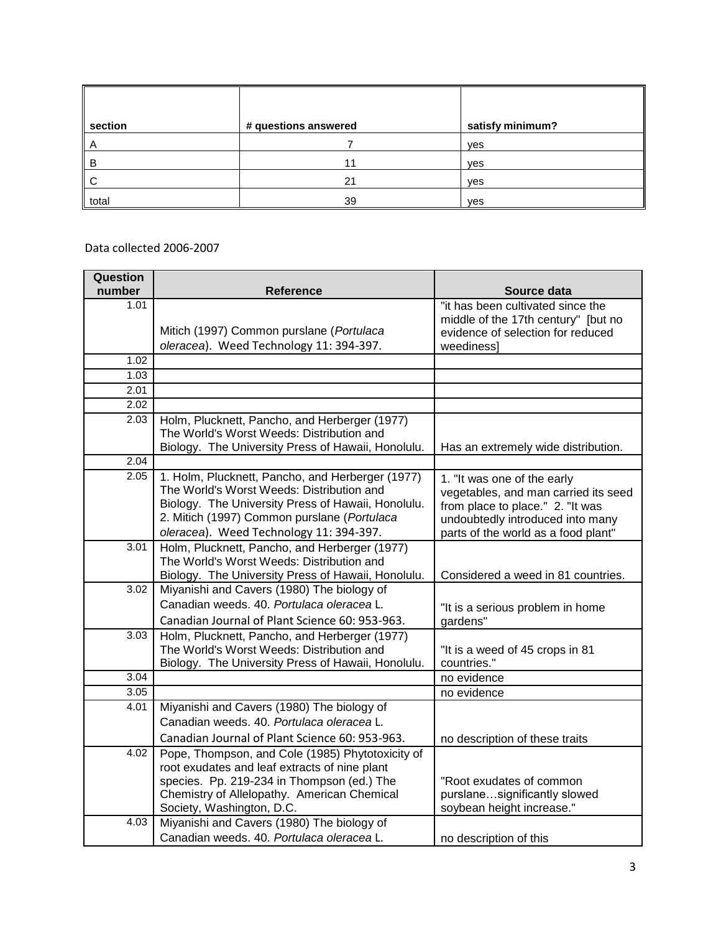| section | # questions answered | satisfy minimum? |
|---------|----------------------|------------------|
| A       |                      | yes              |
| B       |                      | yes              |
| . C     | 21                   | yes              |
| total   | 39                   | yes              |

Data collected 2006-2007

| Question<br>number | <b>Reference</b>                                                                                                                                                                                                                               | Source data                                                                                                                                                                        |
|--------------------|------------------------------------------------------------------------------------------------------------------------------------------------------------------------------------------------------------------------------------------------|------------------------------------------------------------------------------------------------------------------------------------------------------------------------------------|
| 1.01               | Mitich (1997) Common purslane (Portulaca                                                                                                                                                                                                       | "it has been cultivated since the<br>middle of the 17th century" [but no<br>evidence of selection for reduced                                                                      |
|                    | oleracea). Weed Technology 11: 394-397.                                                                                                                                                                                                        | weediness]                                                                                                                                                                         |
| 1.02               |                                                                                                                                                                                                                                                |                                                                                                                                                                                    |
| 1.03               |                                                                                                                                                                                                                                                |                                                                                                                                                                                    |
| 2.01               |                                                                                                                                                                                                                                                |                                                                                                                                                                                    |
| 2.02               |                                                                                                                                                                                                                                                |                                                                                                                                                                                    |
| 2.03               | Holm, Plucknett, Pancho, and Herberger (1977)<br>The World's Worst Weeds: Distribution and<br>Biology. The University Press of Hawaii, Honolulu.                                                                                               | Has an extremely wide distribution.                                                                                                                                                |
| 2.04               |                                                                                                                                                                                                                                                |                                                                                                                                                                                    |
| 2.05               | 1. Holm, Plucknett, Pancho, and Herberger (1977).<br>The World's Worst Weeds: Distribution and<br>Biology. The University Press of Hawaii, Honolulu.<br>2. Mitich (1997) Common purslane (Portulaca<br>oleracea). Weed Technology 11: 394-397. | 1. "It was one of the early<br>vegetables, and man carried its seed<br>from place to place." 2. "It was<br>undoubtedly introduced into many<br>parts of the world as a food plant" |
| 3.01               | Holm, Plucknett, Pancho, and Herberger (1977)<br>The World's Worst Weeds: Distribution and<br>Biology. The University Press of Hawaii, Honolulu.                                                                                               | Considered a weed in 81 countries.                                                                                                                                                 |
| 3.02               | Miyanishi and Cavers (1980) The biology of<br>Canadian weeds. 40. Portulaca oleracea L.<br>Canadian Journal of Plant Science 60: 953-963.                                                                                                      | "It is a serious problem in home<br>gardens"                                                                                                                                       |
| 3.03               | Holm, Plucknett, Pancho, and Herberger (1977)<br>The World's Worst Weeds: Distribution and<br>Biology. The University Press of Hawaii, Honolulu.                                                                                               | "It is a weed of 45 crops in 81<br>countries."                                                                                                                                     |
| 3.04               |                                                                                                                                                                                                                                                | no evidence                                                                                                                                                                        |
| 3.05               |                                                                                                                                                                                                                                                | no evidence                                                                                                                                                                        |
| 4.01               | Miyanishi and Cavers (1980) The biology of<br>Canadian weeds, 40, Portulaca oleracea L.<br>Canadian Journal of Plant Science 60: 953-963.                                                                                                      | no description of these traits                                                                                                                                                     |
| 4.02               | Pope, Thompson, and Cole (1985) Phytotoxicity of<br>root exudates and leaf extracts of nine plant<br>species. Pp. 219-234 in Thompson (ed.) The<br>Chemistry of Allelopathy. American Chemical<br>Society, Washington, D.C.                    | "Root exudates of common<br>purslanesignificantly slowed<br>soybean height increase."                                                                                              |
| 4.03               | Miyanishi and Cavers (1980) The biology of<br>Canadian weeds. 40. Portulaca oleracea L.                                                                                                                                                        | no description of this                                                                                                                                                             |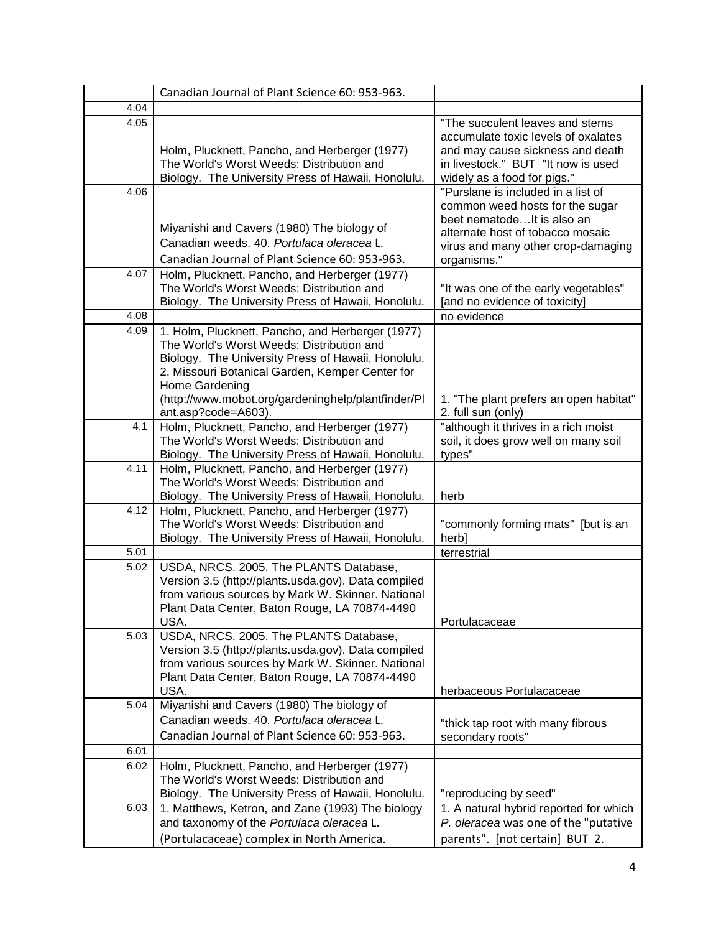|      | Canadian Journal of Plant Science 60: 953-963.                                                                                                                                                                                                                                                        |                                                                                                                                                                                              |
|------|-------------------------------------------------------------------------------------------------------------------------------------------------------------------------------------------------------------------------------------------------------------------------------------------------------|----------------------------------------------------------------------------------------------------------------------------------------------------------------------------------------------|
| 4.04 |                                                                                                                                                                                                                                                                                                       |                                                                                                                                                                                              |
| 4.05 | Holm, Plucknett, Pancho, and Herberger (1977)<br>The World's Worst Weeds: Distribution and<br>Biology. The University Press of Hawaii, Honolulu.                                                                                                                                                      | "The succulent leaves and stems<br>accumulate toxic levels of oxalates<br>and may cause sickness and death<br>in livestock." BUT "It now is used<br>widely as a food for pigs."              |
| 4.06 | Miyanishi and Cavers (1980) The biology of<br>Canadian weeds, 40, Portulaca oleracea L.<br>Canadian Journal of Plant Science 60: 953-963.                                                                                                                                                             | "Purslane is included in a list of<br>common weed hosts for the sugar<br>beet nematodeIt is also an<br>alternate host of tobacco mosaic<br>virus and many other crop-damaging<br>organisms." |
| 4.07 | Holm, Plucknett, Pancho, and Herberger (1977)<br>The World's Worst Weeds: Distribution and<br>Biology. The University Press of Hawaii, Honolulu.                                                                                                                                                      | "It was one of the early vegetables"<br>[and no evidence of toxicity]                                                                                                                        |
| 4.08 |                                                                                                                                                                                                                                                                                                       | no evidence                                                                                                                                                                                  |
| 4.09 | 1. Holm, Plucknett, Pancho, and Herberger (1977)<br>The World's Worst Weeds: Distribution and<br>Biology. The University Press of Hawaii, Honolulu.<br>2. Missouri Botanical Garden, Kemper Center for<br>Home Gardening<br>(http://www.mobot.org/gardeninghelp/plantfinder/Pl<br>ant.asp?code=A603). | 1. "The plant prefers an open habitat"<br>2. full sun (only)                                                                                                                                 |
| 4.1  | Holm, Plucknett, Pancho, and Herberger (1977)<br>The World's Worst Weeds: Distribution and<br>Biology. The University Press of Hawaii, Honolulu.                                                                                                                                                      | "although it thrives in a rich moist<br>soil, it does grow well on many soil<br>types"                                                                                                       |
| 4.11 | Holm, Plucknett, Pancho, and Herberger (1977)<br>The World's Worst Weeds: Distribution and<br>Biology. The University Press of Hawaii, Honolulu.                                                                                                                                                      | herb                                                                                                                                                                                         |
| 4.12 | Holm, Plucknett, Pancho, and Herberger (1977)<br>The World's Worst Weeds: Distribution and<br>Biology. The University Press of Hawaii, Honolulu.                                                                                                                                                      | "commonly forming mats" [but is an<br>herb]                                                                                                                                                  |
| 5.01 |                                                                                                                                                                                                                                                                                                       | terrestrial                                                                                                                                                                                  |
| 5.02 | USDA, NRCS. 2005. The PLANTS Database,<br>Version 3.5 (http://plants.usda.gov). Data compiled<br>from various sources by Mark W. Skinner. National<br>Plant Data Center, Baton Rouge, LA 70874-4490<br>USA.                                                                                           | Portulacaceae                                                                                                                                                                                |
| 5.03 | USDA, NRCS. 2005. The PLANTS Database,<br>Version 3.5 (http://plants.usda.gov). Data compiled<br>from various sources by Mark W. Skinner. National<br>Plant Data Center, Baton Rouge, LA 70874-4490<br>USA.                                                                                           | herbaceous Portulacaceae                                                                                                                                                                     |
| 5.04 | Miyanishi and Cavers (1980) The biology of<br>Canadian weeds. 40. Portulaca oleracea L.<br>Canadian Journal of Plant Science 60: 953-963.                                                                                                                                                             | "thick tap root with many fibrous<br>secondary roots"                                                                                                                                        |
| 6.01 |                                                                                                                                                                                                                                                                                                       |                                                                                                                                                                                              |
| 6.02 | Holm, Plucknett, Pancho, and Herberger (1977)<br>The World's Worst Weeds: Distribution and<br>Biology. The University Press of Hawaii, Honolulu.                                                                                                                                                      | "reproducing by seed"                                                                                                                                                                        |
| 6.03 | 1. Matthews, Ketron, and Zane (1993) The biology<br>and taxonomy of the Portulaca oleracea L.<br>(Portulacaceae) complex in North America.                                                                                                                                                            | 1. A natural hybrid reported for which<br>P. oleracea was one of the "putative<br>parents". [not certain] BUT 2.                                                                             |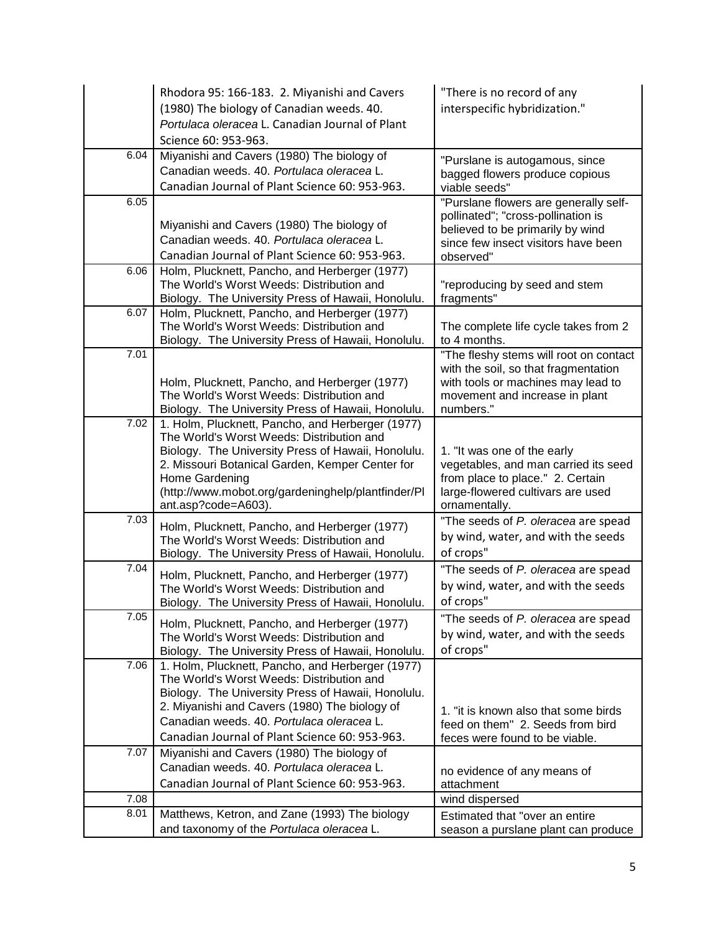|      | Rhodora 95: 166-183. 2. Miyanishi and Cavers<br>(1980) The biology of Canadian weeds. 40.<br>Portulaca oleracea L. Canadian Journal of Plant<br>Science 60: 953-963.                                                                                                                                  | "There is no record of any<br>interspecific hybridization."                                                                                                         |
|------|-------------------------------------------------------------------------------------------------------------------------------------------------------------------------------------------------------------------------------------------------------------------------------------------------------|---------------------------------------------------------------------------------------------------------------------------------------------------------------------|
| 6.04 | Miyanishi and Cavers (1980) The biology of<br>Canadian weeds. 40. Portulaca oleracea L.<br>Canadian Journal of Plant Science 60: 953-963.                                                                                                                                                             | "Purslane is autogamous, since<br>bagged flowers produce copious<br>viable seeds"                                                                                   |
| 6.05 | Miyanishi and Cavers (1980) The biology of<br>Canadian weeds. 40. Portulaca oleracea L.<br>Canadian Journal of Plant Science 60: 953-963.                                                                                                                                                             | "Purslane flowers are generally self-<br>pollinated"; "cross-pollination is<br>believed to be primarily by wind<br>since few insect visitors have been<br>observed" |
| 6.06 | Holm, Plucknett, Pancho, and Herberger (1977)<br>The World's Worst Weeds: Distribution and<br>Biology. The University Press of Hawaii, Honolulu.                                                                                                                                                      | "reproducing by seed and stem<br>fragments"                                                                                                                         |
| 6.07 | Holm, Plucknett, Pancho, and Herberger (1977)<br>The World's Worst Weeds: Distribution and<br>Biology. The University Press of Hawaii, Honolulu.                                                                                                                                                      | The complete life cycle takes from 2<br>to 4 months.                                                                                                                |
| 7.01 | Holm, Plucknett, Pancho, and Herberger (1977)<br>The World's Worst Weeds: Distribution and<br>Biology. The University Press of Hawaii, Honolulu.                                                                                                                                                      | "The fleshy stems will root on contact<br>with the soil, so that fragmentation<br>with tools or machines may lead to<br>movement and increase in plant<br>numbers." |
| 7.02 | 1. Holm, Plucknett, Pancho, and Herberger (1977)<br>The World's Worst Weeds: Distribution and<br>Biology. The University Press of Hawaii, Honolulu.<br>2. Missouri Botanical Garden, Kemper Center for<br>Home Gardening<br>(http://www.mobot.org/gardeninghelp/plantfinder/Pl<br>ant.asp?code=A603). | 1. "It was one of the early<br>vegetables, and man carried its seed<br>from place to place." 2. Certain<br>large-flowered cultivars are used<br>ornamentally.       |
| 7.03 | Holm, Plucknett, Pancho, and Herberger (1977)<br>The World's Worst Weeds: Distribution and<br>Biology. The University Press of Hawaii, Honolulu.                                                                                                                                                      | "The seeds of P. oleracea are spead<br>by wind, water, and with the seeds<br>of crops"                                                                              |
| 7.04 | Holm, Plucknett, Pancho, and Herberger (1977)<br>The World's Worst Weeds: Distribution and<br>Biology. The University Press of Hawaii, Honolulu.                                                                                                                                                      | "The seeds of P. oleracea are spead<br>by wind, water, and with the seeds<br>of crops"                                                                              |
| 7.05 | Holm, Plucknett, Pancho, and Herberger (1977)<br>The World's Worst Weeds: Distribution and<br>Biology. The University Press of Hawaii, Honolulu.                                                                                                                                                      | "The seeds of P. oleracea are spead<br>by wind, water, and with the seeds<br>of crops"                                                                              |
| 7.06 | 1. Holm, Plucknett, Pancho, and Herberger (1977)<br>The World's Worst Weeds: Distribution and<br>Biology. The University Press of Hawaii, Honolulu.<br>2. Miyanishi and Cavers (1980) The biology of<br>Canadian weeds, 40, Portulaca oleracea L.<br>Canadian Journal of Plant Science 60: 953-963.   | 1. "it is known also that some birds<br>feed on them" 2. Seeds from bird<br>feces were found to be viable.                                                          |
| 7.07 | Miyanishi and Cavers (1980) The biology of<br>Canadian weeds. 40. Portulaca oleracea L.<br>Canadian Journal of Plant Science 60: 953-963.                                                                                                                                                             | no evidence of any means of<br>attachment                                                                                                                           |
| 7.08 |                                                                                                                                                                                                                                                                                                       | wind dispersed                                                                                                                                                      |
| 8.01 | Matthews, Ketron, and Zane (1993) The biology<br>and taxonomy of the Portulaca oleracea L.                                                                                                                                                                                                            | Estimated that "over an entire<br>season a purslane plant can produce                                                                                               |